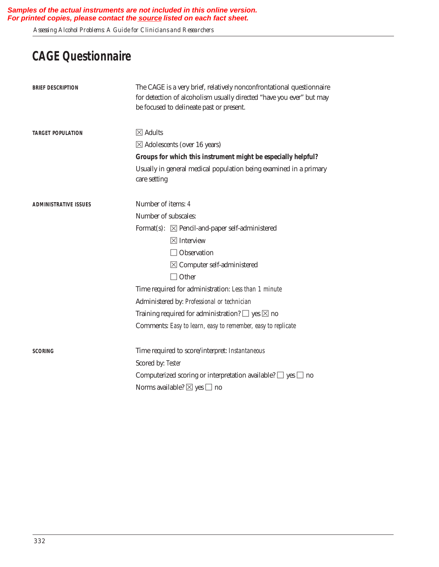*Assessing Alcohol Problems: A Guide for Clinicians and Researchers* 

## **CAGE Questionnaire**

| <b>BRIEF DESCRIPTION</b>     | The CAGE is a very brief, relatively nonconfrontational questionnaire<br>for detection of alcoholism usually directed "have you ever" but may<br>be focused to delineate past or present. |
|------------------------------|-------------------------------------------------------------------------------------------------------------------------------------------------------------------------------------------|
| <b>TARGET POPULATION</b>     | $\boxtimes$ Adults                                                                                                                                                                        |
|                              | $\boxtimes$ Adolescents (over 16 years)                                                                                                                                                   |
|                              | Groups for which this instrument might be especially helpful?                                                                                                                             |
|                              | Usually in general medical population being examined in a primary<br>care setting                                                                                                         |
| <b>ADMINISTRATIVE ISSUES</b> | Number of items: 4                                                                                                                                                                        |
|                              | Number of subscales:                                                                                                                                                                      |
|                              | Format(s): $\boxtimes$ Pencil-and-paper self-administered                                                                                                                                 |
|                              | $\boxtimes$ Interview                                                                                                                                                                     |
|                              | $\Box$ Observation                                                                                                                                                                        |
|                              | $\boxtimes$ Computer self-administered                                                                                                                                                    |
|                              | $\Box$ Other                                                                                                                                                                              |
|                              | Time required for administration: Less than 1 minute                                                                                                                                      |
|                              | Administered by: Professional or technician                                                                                                                                               |
|                              | Training required for administration? $\Box$ yes $\boxtimes$ no                                                                                                                           |
|                              | Comments: Easy to learn, easy to remember, easy to replicate                                                                                                                              |
| <b>SCORING</b>               | Time required to score/interpret: Instantaneous                                                                                                                                           |
|                              | Scored by: Tester                                                                                                                                                                         |
|                              | Computerized scoring or interpretation available? $\Box$ yes $\Box$ no                                                                                                                    |
|                              | Norms available? $\boxtimes$ yes $\Box$ no                                                                                                                                                |